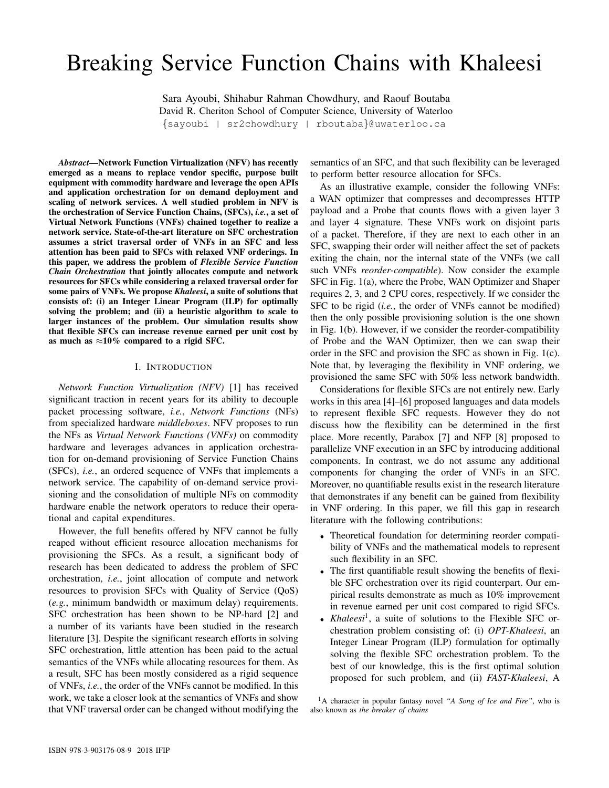# Breaking Service Function Chains with Khaleesi

Sara Ayoubi, Shihabur Rahman Chowdhury, and Raouf Boutaba David R. Cheriton School of Computer Science, University of Waterloo {sayoubi | sr2chowdhury | rboutaba}@uwaterloo.ca

*Abstract*—Network Function Virtualization (NFV) has recently emerged as a means to replace vendor specific, purpose built equipment with commodity hardware and leverage the open APIs and application orchestration for on demand deployment and scaling of network services. A well studied problem in NFV is the orchestration of Service Function Chains, (SFCs), *i.e.*, a set of Virtual Network Functions (VNFs) chained together to realize a network service. State-of-the-art literature on SFC orchestration assumes a strict traversal order of VNFs in an SFC and less attention has been paid to SFCs with relaxed VNF orderings. In this paper, we address the problem of *Flexible Service Function Chain Orchestration* that jointly allocates compute and network resources for SFCs while considering a relaxed traversal order for some pairs of VNFs. We propose *Khaleesi*, a suite of solutions that consists of: (i) an Integer Linear Program (ILP) for optimally solving the problem; and (ii) a heuristic algorithm to scale to larger instances of the problem. Our simulation results show that flexible SFCs can increase revenue earned per unit cost by as much as  $\approx 10\%$  compared to a rigid SFC.

#### I. INTRODUCTION

*Network Function Virtualization (NFV)* [1] has received significant traction in recent years for its ability to decouple packet processing software, *i.e.*, *Network Functions* (NFs) from specialized hardware *middleboxes*. NFV proposes to run the NFs as *Virtual Network Functions (VNFs)* on commodity hardware and leverages advances in application orchestration for on-demand provisioning of Service Function Chains (SFCs), *i.e.*, an ordered sequence of VNFs that implements a network service. The capability of on-demand service provisioning and the consolidation of multiple NFs on commodity hardware enable the network operators to reduce their operational and capital expenditures.

However, the full benefits offered by NFV cannot be fully reaped without efficient resource allocation mechanisms for provisioning the SFCs. As a result, a significant body of research has been dedicated to address the problem of SFC orchestration, *i.e.*, joint allocation of compute and network resources to provision SFCs with Quality of Service (QoS) (*e.g.*, minimum bandwidth or maximum delay) requirements. SFC orchestration has been shown to be NP-hard [2] and a number of its variants have been studied in the research literature [3]. Despite the significant research efforts in solving SFC orchestration, little attention has been paid to the actual semantics of the VNFs while allocating resources for them. As a result, SFC has been mostly considered as a rigid sequence of VNFs, *i.e.*, the order of the VNFs cannot be modified. In this work, we take a closer look at the semantics of VNFs and show that VNF traversal order can be changed without modifying the

semantics of an SFC, and that such flexibility can be leveraged to perform better resource allocation for SFCs.

As an illustrative example, consider the following VNFs: a WAN optimizer that compresses and decompresses HTTP payload and a Probe that counts flows with a given layer 3 and layer 4 signature. These VNFs work on disjoint parts of a packet. Therefore, if they are next to each other in an SFC, swapping their order will neither affect the set of packets exiting the chain, nor the internal state of the VNFs (we call such VNFs *reorder-compatible*). Now consider the example SFC in Fig. 1(a), where the Probe, WAN Optimizer and Shaper requires 2, 3, and 2 CPU cores, respectively. If we consider the SFC to be rigid (*i.e.*, the order of VNFs cannot be modified) then the only possible provisioning solution is the one shown in Fig. 1(b). However, if we consider the reorder-compatibility of Probe and the WAN Optimizer, then we can swap their order in the SFC and provision the SFC as shown in Fig. 1(c). Note that, by leveraging the flexibility in VNF ordering, we provisioned the same SFC with 50% less network bandwidth.

Considerations for flexible SFCs are not entirely new. Early works in this area [4]–[6] proposed languages and data models to represent flexible SFC requests. However they do not discuss how the flexibility can be determined in the first place. More recently, Parabox [7] and NFP [8] proposed to parallelize VNF execution in an SFC by introducing additional components. In contrast, we do not assume any additional components for changing the order of VNFs in an SFC. Moreover, no quantifiable results exist in the research literature that demonstrates if any benefit can be gained from flexibility in VNF ordering. In this paper, we fill this gap in research literature with the following contributions:

- Theoretical foundation for determining reorder compatibility of VNFs and the mathematical models to represent such flexibility in an SFC.
- The first quantifiable result showing the benefits of flexible SFC orchestration over its rigid counterpart. Our empirical results demonstrate as much as 10% improvement in revenue earned per unit cost compared to rigid SFCs.
- *Khaleesi*<sup>1</sup>, a suite of solutions to the Flexible SFC orchestration problem consisting of: (i) *OPT-Khaleesi*, an Integer Linear Program (ILP) formulation for optimally solving the flexible SFC orchestration problem. To the best of our knowledge, this is the first optimal solution proposed for such problem, and (ii) *FAST-Khaleesi*, A

<sup>1</sup>A character in popular fantasy novel *"A Song of Ice and Fire"*, who is also known as *the breaker of chains*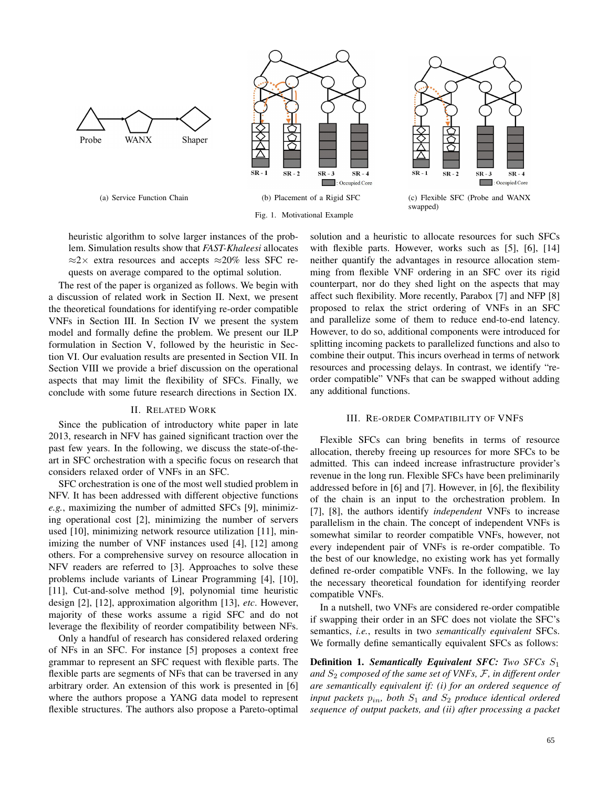

heuristic algorithm to solve larger instances of the problem. Simulation results show that *FAST-Khaleesi* allocates  $\approx$ 2 $\times$  extra resources and accepts  $\approx$ 20% less SFC requests on average compared to the optimal solution.

The rest of the paper is organized as follows. We begin with a discussion of related work in Section II. Next, we present the theoretical foundations for identifying re-order compatible VNFs in Section III. In Section IV we present the system model and formally define the problem. We present our ILP formulation in Section V, followed by the heuristic in Section VI. Our evaluation results are presented in Section VII. In Section VIII we provide a brief discussion on the operational aspects that may limit the flexibility of SFCs. Finally, we conclude with some future research directions in Section IX.

# II. RELATED WORK

Since the publication of introductory white paper in late 2013, research in NFV has gained significant traction over the past few years. In the following, we discuss the state-of-theart in SFC orchestration with a specific focus on research that considers relaxed order of VNFs in an SFC.

SFC orchestration is one of the most well studied problem in NFV. It has been addressed with different objective functions *e.g.*, maximizing the number of admitted SFCs [9], minimizing operational cost [2], minimizing the number of servers used [10], minimizing network resource utilization [11], minimizing the number of VNF instances used [4], [12] among others. For a comprehensive survey on resource allocation in NFV readers are referred to [3]. Approaches to solve these problems include variants of Linear Programming [4], [10], [11], Cut-and-solve method [9], polynomial time heuristic design [2], [12], approximation algorithm [13], *etc*. However, majority of these works assume a rigid SFC and do not leverage the flexibility of reorder compatibility between NFs.

Only a handful of research has considered relaxed ordering of NFs in an SFC. For instance [5] proposes a context free grammar to represent an SFC request with flexible parts. The flexible parts are segments of NFs that can be traversed in any arbitrary order. An extension of this work is presented in [6] where the authors propose a YANG data model to represent flexible structures. The authors also propose a Pareto-optimal

solution and a heuristic to allocate resources for such SFCs with flexible parts. However, works such as [5], [6], [14] neither quantify the advantages in resource allocation stemming from flexible VNF ordering in an SFC over its rigid counterpart, nor do they shed light on the aspects that may affect such flexibility. More recently, Parabox [7] and NFP [8] proposed to relax the strict ordering of VNFs in an SFC and parallelize some of them to reduce end-to-end latency. However, to do so, additional components were introduced for splitting incoming packets to parallelized functions and also to combine their output. This incurs overhead in terms of network resources and processing delays. In contrast, we identify "reorder compatible" VNFs that can be swapped without adding any additional functions.

# III. RE-ORDER COMPATIBILITY OF VNFS

Flexible SFCs can bring benefits in terms of resource allocation, thereby freeing up resources for more SFCs to be admitted. This can indeed increase infrastructure provider's revenue in the long run. Flexible SFCs have been preliminarily addressed before in [6] and [7]. However, in [6], the flexibility of the chain is an input to the orchestration problem. In [7], [8], the authors identify *independent* VNFs to increase parallelism in the chain. The concept of independent VNFs is somewhat similar to reorder compatible VNFs, however, not every independent pair of VNFs is re-order compatible. To the best of our knowledge, no existing work has yet formally defined re-order compatible VNFs. In the following, we lay the necessary theoretical foundation for identifying reorder compatible VNFs.

In a nutshell, two VNFs are considered re-order compatible if swapping their order in an SFC does not violate the SFC's semantics, *i.e.*, results in two *semantically equivalent* SFCs. We formally define semantically equivalent SFCs as follows:

Definition 1. *Semantically Equivalent SFC: Two SFCs* S<sup>1</sup> *and*  $S_2$  *composed of the same set of VNFs, F, in different order are semantically equivalent if: (i) for an ordered sequence of input packets*  $p_{in}$ *, both*  $S_1$  *and*  $S_2$  *produce identical ordered sequence of output packets, and (ii) after processing a packet*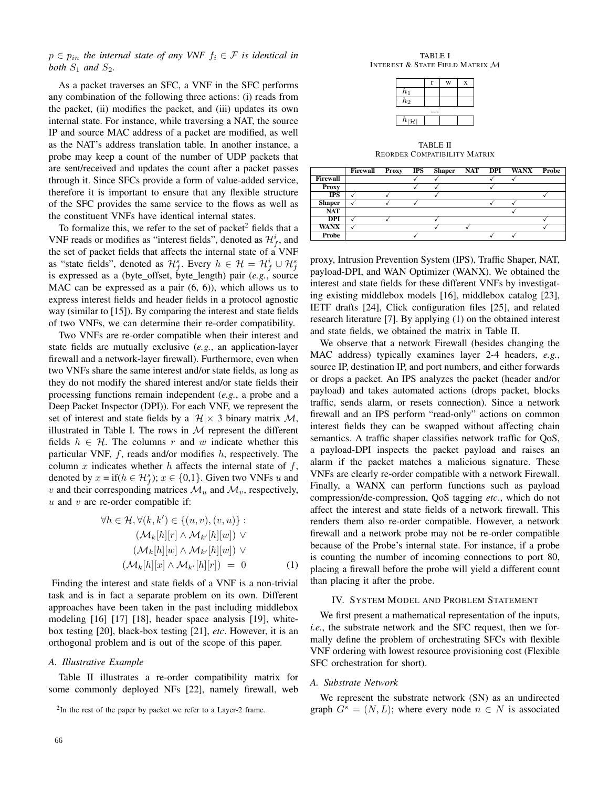# $p \in p_{in}$  the internal state of any VNF  $f_i \in \mathcal{F}$  is identical in *both*  $S_1$  *and*  $S_2$ *.*

As a packet traverses an SFC, a VNF in the SFC performs any combination of the following three actions: (i) reads from the packet, (ii) modifies the packet, and (iii) updates its own internal state. For instance, while traversing a NAT, the source IP and source MAC address of a packet are modified, as well as the NAT's address translation table. In another instance, a probe may keep a count of the number of UDP packets that are sent/received and updates the count after a packet passes through it. Since SFCs provide a form of value-added service, therefore it is important to ensure that any flexible structure of the SFC provides the same service to the flows as well as the constituent VNFs have identical internal states.

To formalize this, we refer to the set of packet<sup>2</sup> fields that a VNF reads or modifies as "interest fields", denoted as  $\mathcal{H}_f^i$ , and the set of packet fields that affects the internal state of a VNF as "state fields", denoted as  $\mathcal{H}_{f}^{s}$ . Every  $h \in \mathcal{H} = \mathcal{H}_{f}^{i} \cup \mathcal{H}_{f}^{s}$ is expressed as a (byte offset, byte length) pair (*e.g.*, source MAC can be expressed as a pair (6, 6)), which allows us to express interest fields and header fields in a protocol agnostic way (similar to [15]). By comparing the interest and state fields of two VNFs, we can determine their re-order compatibility.

Two VNFs are re-order compatible when their interest and state fields are mutually exclusive (*e.g.*, an application-layer firewall and a network-layer firewall). Furthermore, even when two VNFs share the same interest and/or state fields, as long as they do not modify the shared interest and/or state fields their processing functions remain independent (*e.g.*, a probe and a Deep Packet Inspector (DPI)). For each VNF, we represent the set of interest and state fields by a  $|\mathcal{H}| \times 3$  binary matrix M, illustrated in Table I. The rows in  $M$  represent the different fields  $h \in \mathcal{H}$ . The columns r and w indicate whether this particular VNF,  $f$ , reads and/or modifies  $h$ , respectively. The column x indicates whether h affects the internal state of  $f$ , denoted by  $x = \text{if}(h \in \mathcal{H}_f^s); x \in \{0,1\}$ . Given two VNFs u and v and their corresponding matrices  $\mathcal{M}_u$  and  $\mathcal{M}_v$ , respectively,  $u$  and  $v$  are re-order compatible if:

$$
\forall h \in \mathcal{H}, \forall (k, k') \in \{(u, v), (v, u)\} : \n(\mathcal{M}_k[h][r] \land \mathcal{M}_{k'}[h][w]) \lor \n(\mathcal{M}_k[h][w] \land \mathcal{M}_{k'}[h][w]) \lor \n(\mathcal{M}_k[h][x] \land \mathcal{M}_{k'}[h][r]) = 0
$$
\n(1)

Finding the interest and state fields of a VNF is a non-trivial task and is in fact a separate problem on its own. Different approaches have been taken in the past including middlebox modeling [16] [17] [18], header space analysis [19], whitebox testing [20], black-box testing [21], *etc*. However, it is an orthogonal problem and is out of the scope of this paper.

# *A. Illustrative Example*

Table II illustrates a re-order compatibility matrix for some commonly deployed NFs [22], namely firewall, web

TABLE I INTEREST & STATE FIELD MATRIX M

|                                |  | W | X |  |  |
|--------------------------------|--|---|---|--|--|
| $h_1$                          |  |   |   |  |  |
| h <sub>2</sub>                 |  |   |   |  |  |
|                                |  |   |   |  |  |
| $\overline{h}_{ \mathcal{H} }$ |  |   |   |  |  |

TABLE II REORDER COMPATIBILITY MATRIX

|                 | Firewall | <b>Proxy</b> | <b>IPS</b> |  | Shaper NAT DPI WANX Probe |  |
|-----------------|----------|--------------|------------|--|---------------------------|--|
| <b>Firewall</b> |          |              |            |  |                           |  |
| Proxy           |          |              |            |  |                           |  |
| <b>IPS</b>      |          |              |            |  |                           |  |
| <b>Shaper</b>   |          |              |            |  |                           |  |
| NAT             |          |              |            |  |                           |  |
| <b>DPI</b>      |          |              |            |  |                           |  |
| <b>WANX</b>     |          |              |            |  |                           |  |
| Probe           |          |              |            |  |                           |  |

proxy, Intrusion Prevention System (IPS), Traffic Shaper, NAT, payload-DPI, and WAN Optimizer (WANX). We obtained the interest and state fields for these different VNFs by investigating existing middlebox models [16], middlebox catalog [23], IETF drafts [24], Click configuration files [25], and related research literature [7]. By applying (1) on the obtained interest and state fields, we obtained the matrix in Table II.

We observe that a network Firewall (besides changing the MAC address) typically examines layer 2-4 headers, *e.g.*, source IP, destination IP, and port numbers, and either forwards or drops a packet. An IPS analyzes the packet (header and/or payload) and takes automated actions (drops packet, blocks traffic, sends alarm, or resets connection). Since a network firewall and an IPS perform "read-only" actions on common interest fields they can be swapped without affecting chain semantics. A traffic shaper classifies network traffic for QoS, a payload-DPI inspects the packet payload and raises an alarm if the packet matches a malicious signature. These VNFs are clearly re-order compatible with a network Firewall. Finally, a WANX can perform functions such as payload compression/de-compression, QoS tagging *etc*., which do not affect the interest and state fields of a network firewall. This renders them also re-order compatible. However, a network firewall and a network probe may not be re-order compatible because of the Probe's internal state. For instance, if a probe is counting the number of incoming connections to port 80, placing a firewall before the probe will yield a different count than placing it after the probe.

#### IV. SYSTEM MODEL AND PROBLEM STATEMENT

We first present a mathematical representation of the inputs, *i.e.*, the substrate network and the SFC request, then we formally define the problem of orchestrating SFCs with flexible VNF ordering with lowest resource provisioning cost (Flexible SFC orchestration for short).

## *A. Substrate Network*

We represent the substrate network (SN) as an undirected graph  $G<sup>s</sup> = (N, L)$ ; where every node  $n \in N$  is associated

 $2$ In the rest of the paper by packet we refer to a Layer-2 frame.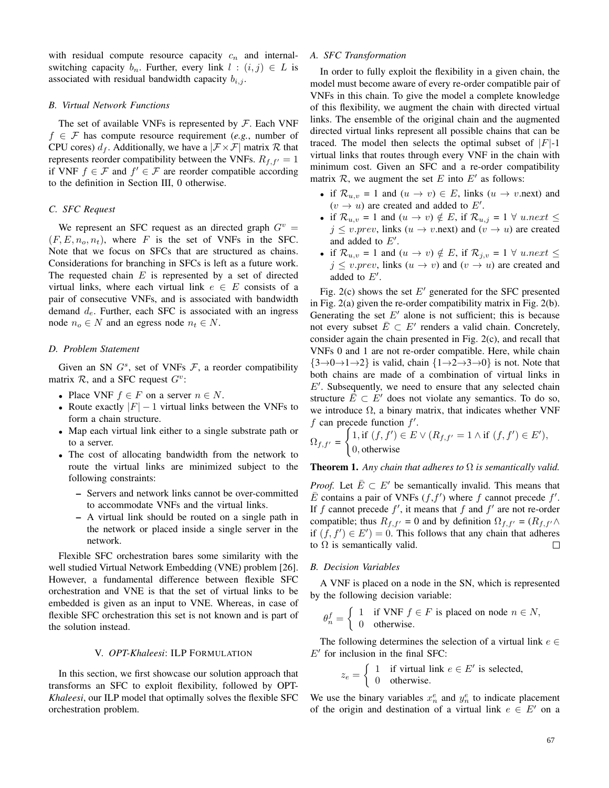with residual compute resource capacity  $c_n$  and internalswitching capacity  $b_n$ . Further, every link  $l : (i, j) \in L$  is associated with residual bandwidth capacity  $b_{i,j}$ .

### *B. Virtual Network Functions*

The set of available VNFs is represented by  $\mathcal F$ . Each VNF  $f \in \mathcal{F}$  has compute resource requirement (*e.g.*, number of CPU cores)  $d_f$ . Additionally, we have a  $|\mathcal{F} \times \mathcal{F}|$  matrix R that represents reorder compatibility between the VNFs.  $R_{f,f'} = 1$ if VNF  $f \in \mathcal{F}$  and  $f' \in \mathcal{F}$  are reorder compatible according to the definition in Section III, 0 otherwise.

#### *C. SFC Request*

We represent an SFC request as an directed graph  $G<sup>v</sup>$  =  $(F, E, n<sub>o</sub>, n<sub>t</sub>)$ , where F is the set of VNFs in the SFC. Note that we focus on SFCs that are structured as chains. Considerations for branching in SFCs is left as a future work. The requested chain  $E$  is represented by a set of directed virtual links, where each virtual link  $e \in E$  consists of a pair of consecutive VNFs, and is associated with bandwidth demand  $d_e$ . Further, each SFC is associated with an ingress node  $n_o \in N$  and an egress node  $n_t \in N$ .

# *D. Problem Statement*

Given an SN  $G<sup>s</sup>$ , set of VNFs  $F$ , a reorder compatibility matrix  $R$ , and a SFC request  $G^v$ :

- Place VNF  $f \in F$  on a server  $n \in N$ .
- Route exactly  $|F| 1$  virtual links between the VNFs to form a chain structure.
- Map each virtual link either to a single substrate path or to a server.
- The cost of allocating bandwidth from the network to route the virtual links are minimized subject to the following constraints:
	- Servers and network links cannot be over-committed to accommodate VNFs and the virtual links.
	- A virtual link should be routed on a single path in the network or placed inside a single server in the network.

Flexible SFC orchestration bares some similarity with the well studied Virtual Network Embedding (VNE) problem [26]. However, a fundamental difference between flexible SFC orchestration and VNE is that the set of virtual links to be embedded is given as an input to VNE. Whereas, in case of flexible SFC orchestration this set is not known and is part of the solution instead.

#### V. *OPT-Khaleesi*: ILP FORMULATION

In this section, we first showcase our solution approach that transforms an SFC to exploit flexibility, followed by OPT-*Khaleesi*, our ILP model that optimally solves the flexible SFC orchestration problem.

# *A. SFC Transformation*

In order to fully exploit the flexibility in a given chain, the model must become aware of every re-order compatible pair of VNFs in this chain. To give the model a complete knowledge of this flexibility, we augment the chain with directed virtual links. The ensemble of the original chain and the augmented directed virtual links represent all possible chains that can be traced. The model then selects the optimal subset of  $|F|-1$ virtual links that routes through every VNF in the chain with minimum cost. Given an SFC and a re-order compatibility matrix  $\mathcal{R}$ , we augment the set E into E' as follows:

- if  $\mathcal{R}_{u,v} = 1$  and  $(u \to v) \in E$ , links  $(u \to v \text{.next})$  and  $(v \rightarrow u)$  are created and added to E'.
- if  $\mathcal{R}_{u,v} = 1$  and  $(u \to v) \notin E$ , if  $\mathcal{R}_{u,j} = 1 \ \forall \ u.next \leq$  $j \le v.\text{prev},$  links  $(u \to v.\text{next})$  and  $(v \to u)$  are created and added to  $E'$ .
- if  $\mathcal{R}_{u,v} = 1$  and  $(u \to v) \notin E$ , if  $\mathcal{R}_{i,v} = 1 \forall u.next \leq$  $j \le v.\text{prev},$  links  $(u \to v)$  and  $(v \to u)$  are created and added to  $E'$ .

Fig. 2(c) shows the set  $E'$  generated for the SFC presented in Fig. 2(a) given the re-order compatibility matrix in Fig. 2(b). Generating the set  $E'$  alone is not sufficient; this is because not every subset  $\overline{E} \subset E'$  renders a valid chain. Concretely, consider again the chain presented in Fig. 2(c), and recall that VNFs 0 and 1 are not re-order compatible. Here, while chain  ${3\rightarrow0\rightarrow1\rightarrow2}$  is valid, chain  ${1\rightarrow2\rightarrow3\rightarrow0}$  is not. Note that both chains are made of a combination of virtual links in  $E'$ . Subsequently, we need to ensure that any selected chain structure  $\overline{E} \subset E'$  does not violate any semantics. To do so, we introduce  $\Omega$ , a binary matrix, that indicates whether VNF  $f$  can precede function  $f'$ .

$$
\Omega_{f,f'} = \begin{cases} 1, \text{if } (f,f') \in E \vee (R_{f,f'} = 1 \wedge \text{if } (f,f') \in E'), \\ 0, \text{otherwise} \end{cases}
$$

**Theorem 1.** Any chain that adheres to  $\Omega$  is semantically valid.

*Proof.* Let  $\overline{E} \subset E'$  be semantically invalid. This means that  $\overline{E}$  contains a pair of VNFs  $(f, f')$  where f cannot precede f'. If f cannot precede  $f'$ , it means that f and  $f'$  are not re-order compatible; thus  $R_{f,f'} = 0$  and by definition  $\Omega_{f,f'} = (R_{f,f'} \wedge$ if  $(f, f') \in E'$  = 0. This follows that any chain that adheres to  $\Omega$  is semantically valid.  $\Box$ 

#### *B. Decision Variables*

 $z_e$ 

A VNF is placed on a node in the SN, which is represented by the following decision variable:

$$
\theta_n^f = \begin{cases} 1 & \text{if } \text{VNF } f \in F \text{ is placed on node } n \in N, \\ 0 & \text{otherwise.} \end{cases}
$$

The following determines the selection of a virtual link  $e \in$  $E'$  for inclusion in the final SFC:

$$
= \begin{cases} 1 & \text{if virtual link } e \in E' \text{ is selected,} \\ 0 & \text{otherwise.} \end{cases}
$$

We use the binary variables  $x_n^e$  and  $y_n^e$  to indicate placement of the origin and destination of a virtual link  $e \in E'$  on a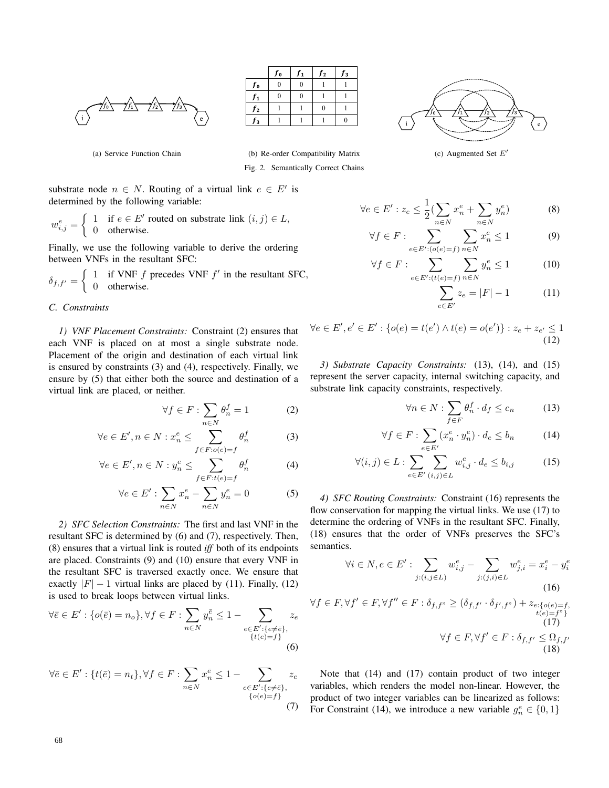

|    | $J_0$ | J <sub>1</sub> | $\parallel$ $J_2$ | JЗ |  |
|----|-------|----------------|-------------------|----|--|
| Jо |       |                |                   |    |  |
|    |       |                |                   |    |  |
| 12 |       |                |                   |    |  |
|    |       |                |                   |    |  |



(c) Augmented Set  $E'$ 

(a) Service Function Chain

(b) Re-order Compatibility Matrix Fig. 2. Semantically Correct Chains

substrate node  $n \in N$ . Routing of a virtual link  $e \in E'$  is determined by the following variable:

$$
w_{i,j}^e = \begin{cases} 1 & \text{if } e \in E' \text{ routed on substrate link } (i,j) \in L, \\ 0 & \text{otherwise.} \end{cases}
$$

Finally, we use the following variable to derive the ordering between VNFs in the resultant SFC:

$$
\delta_{f,f'} = \begin{cases} 1 & \text{if VNF } f \text{ precedes VNF } f' \text{ in the resultant SFC,} \\ 0 & \text{otherwise.} \end{cases}
$$

## *C. Constraints*

*1) VNF Placement Constraints:* Constraint (2) ensures that each VNF is placed on at most a single substrate node. Placement of the origin and destination of each virtual link is ensured by constraints (3) and (4), respectively. Finally, we ensure by (5) that either both the source and destination of a virtual link are placed, or neither.

$$
\forall f \in F : \sum_{n \in N} \theta_n^f = 1 \tag{2}
$$

$$
\forall e \in E', n \in N : x_n^e \le \sum_{f \in F : o(e) = f} \theta_n^f \tag{3}
$$

$$
\forall e \in E', n \in N : y_n^e \le \sum_{f \in F : t(e) = f} \theta_n^f \tag{4}
$$

$$
\forall e \in E': \sum_{n \in N} x_n^e - \sum_{n \in N} y_n^e = 0 \tag{5}
$$

*2) SFC Selection Constraints:* The first and last VNF in the resultant SFC is determined by (6) and (7), respectively. Then, (8) ensures that a virtual link is routed *iff* both of its endpoints are placed. Constraints (9) and (10) ensure that every VNF in the resultant SFC is traversed exactly once. We ensure that exactly  $|F| - 1$  virtual links are placed by (11). Finally, (12) is used to break loops between virtual links.

$$
\forall \bar{e} \in E': \{o(\bar{e}) = n_o\}, \forall f \in F: \sum_{n \in N} y_n^{\bar{e}} \le 1 - \sum_{\substack{e \in E': \{e \ne \bar{e}\}, \\ \{t(e) = f\}}} z_e
$$
\n(6)

$$
\forall \bar{e} \in E': \{t(\bar{e}) = n_t\}, \forall f \in F: \sum_{n \in N} x_n^{\bar{e}} \le 1 - \sum_{\substack{e \in E': \{e \ne \bar{e}\}, \\ \{o(e) = f\}}} z_e
$$
\n(7)

$$
\forall e \in E': z_e \le \frac{1}{2} (\sum_{n \in N} x_n^e + \sum_{n \in N} y_n^e)
$$
 (8)

$$
\forall f \in F: \sum_{e \in E': (o(e) = f)} \sum_{n \in N} x_n^e \le 1 \tag{9}
$$

$$
\forall f \in F: \sum_{e \in E': (t(e) = f)} \sum_{n \in N} y_n^e \le 1 \tag{10}
$$

$$
\sum_{e \in E'} z_e = |F| - 1 \tag{11}
$$

$$
\forall e \in E', e' \in E': \{o(e) = t(e') \land t(e) = o(e')\} : z_e + z_{e'} \le 1
$$
\n(12)

*3) Substrate Capacity Constraints:* (13), (14), and (15) represent the server capacity, internal switching capacity, and substrate link capacity constraints, respectively.

$$
\forall n \in N : \sum_{f \in F} \theta_n^f \cdot d_f \le c_n \tag{13}
$$

$$
\forall f \in F : \sum_{e \in E'} (x_n^e \cdot y_n^e) \cdot d_e \le b_n \tag{14}
$$

$$
\forall (i,j) \in L: \sum_{e \in E'} \sum_{(i,j) \in L} w_{i,j}^e \cdot d_e \le b_{i,j} \tag{15}
$$

*4) SFC Routing Constraints:* Constraint (16) represents the flow conservation for mapping the virtual links. We use (17) to determine the ordering of VNFs in the resultant SFC. Finally, (18) ensures that the order of VNFs preserves the SFC's semantics.

$$
\forall i \in N, e \in E': \sum_{j:(i,j \in L)} w_{i,j}^e - \sum_{j:(j,i) \in L} w_{j,i}^e = x_i^e - y_i^e
$$
\n(16)

$$
\forall f \in F, \forall f' \in F, \forall f'' \in F : \delta_{f, f''} \ge (\delta_{f, f'} \cdot \delta_{f', f''}) + z_{e: \{o(e) = f\}} \cdot (17)
$$
  

$$
\forall f \in F, \forall f' \in F : \delta_{f, f'} \le \Omega_{f, f'}
$$
  
(18)

Note that (14) and (17) contain product of two integer variables, which renders the model non-linear. However, the product of two integer variables can be linearized as follows: For Constraint (14), we introduce a new variable  $g_n^e \in \{0, 1\}$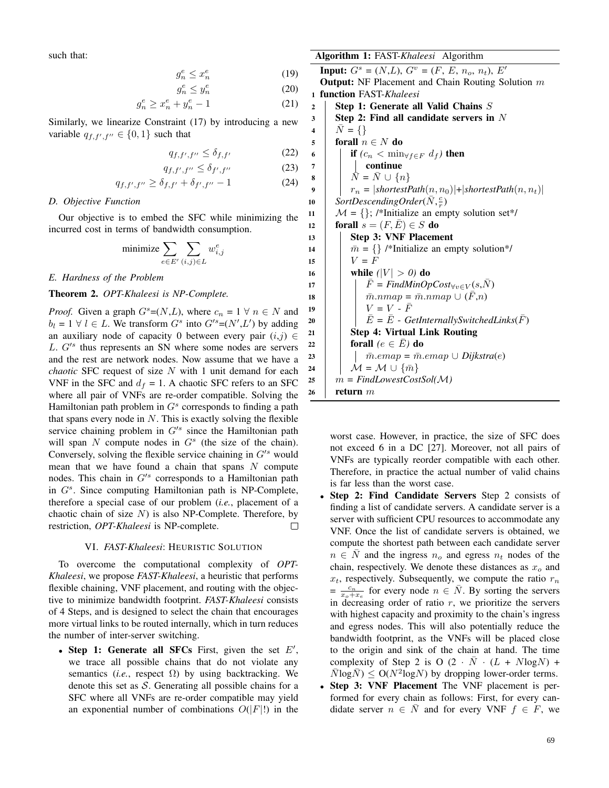such that:

$$
g_n^e \le x_n^e \tag{19}
$$

$$
g_n^e \le y_n^e \tag{20}
$$

$$
g_n^e \ge x_n^e + y_n^e - 1 \tag{21}
$$

Similarly, we linearize Constraint (17) by introducing a new variable  $q_{f, f', f''} \in \{0, 1\}$  such that

$$
q_{f,f',f''} \le \delta_{f,f'} \tag{22}
$$

$$
q_{f,f',f''} \le \delta_{f',f''}
$$
 (23)

$$
q_{f,f',f''} \ge \delta_{f,f'} + \delta_{f',f''} - 1
$$
 (24)

#### *D. Objective Function*

Our objective is to embed the SFC while minimizing the incurred cost in terms of bandwidth consumption.

$$
\text{minimize} \sum_{e \in E'} \sum_{(i,j) \in L} w_{i,j}^e
$$

*E. Hardness of the Problem*

# Theorem 2. *OPT-Khaleesi is NP-Complete.*

*Proof.* Given a graph  $G^s=(N,L)$ , where  $c_n = 1 \forall n \in N$  and  $b_l = 1 \ \forall \ l \in L$ . We transform  $G^s$  into  $G'^s = (N', L')$  by adding an auxiliary node of capacity 0 between every pair  $(i,j) \in$  $L. G'^s$  thus represents an SN where some nodes are servers and the rest are network nodes. Now assume that we have a *chaotic* SFC request of size N with 1 unit demand for each VNF in the SFC and  $d_f = 1$ . A chaotic SFC refers to an SFC where all pair of VNFs are re-order compatible. Solving the Hamiltonian path problem in  $G<sup>s</sup>$  corresponds to finding a path that spans every node in  $N$ . This is exactly solving the flexible service chaining problem in  $G^{s}$  since the Hamiltonian path will span  $N$  compute nodes in  $G<sup>s</sup>$  (the size of the chain). Conversely, solving the flexible service chaining in  $G^{\prime s}$  would mean that we have found a chain that spans  $N$  compute nodes. This chain in  $G'^s$  corresponds to a Hamiltonian path in  $G<sup>s</sup>$ . Since computing Hamiltonian path is NP-Complete, therefore a special case of our problem (*i.e.*, placement of a chaotic chain of size  $N$ ) is also NP-Complete. Therefore, by restriction, *OPT-Khaleesi* is NP-complete.  $\Box$ 

#### VI. *FAST-Khaleesi*: HEURISTIC SOLUTION

To overcome the computational complexity of *OPT-Khaleesi*, we propose *FAST-Khaleesi*, a heuristic that performs flexible chaining, VNF placement, and routing with the objective to minimize bandwidth footprint. *FAST-Khaleesi* consists of 4 Steps, and is designed to select the chain that encourages more virtual links to be routed internally, which in turn reduces the number of inter-server switching.

• Step 1: Generate all SFCs First, given the set  $E'$ , we trace all possible chains that do not violate any semantics (*i.e.*, respect  $\Omega$ ) by using backtracking. We denote this set as  $S$ . Generating all possible chains for a SFC where all VNFs are re-order compatible may yield an exponential number of combinations  $O(|F|!)$  in the Algorithm 1: FAST-*Khaleesi* Algorithm

**Input:**  $G^s = (N, L), G^v = (F, E, n_o, n_t), E^t$ Output: NF Placement and Chain Routing Solution m <sup>1</sup> function FAST-*Khaleesi* 2 Step 1: Generate all Valid Chains  $S$  $3 \mid$  Step 2: Find all candidate servers in N 4 |  $\bar{N} = \{\}$ 5 forall  $n \in N$  do 6 **i** if  $(c_n < \min_{\forall f \in F} d_f)$  then 7 | continue 8  $\vert \bar{N} = \bar{N} \cup \{n\}$ 9  $\vert \cdot \vert r_n = |shortestPath(n, n_0)| + |shortestPath(n, n_t)|$ 10 SortDescendingOrder( $\overline{N}, \frac{c}{r}$ ) 11  $\mathcal{M} = \{\}$ ; /\*Initialize an empty solution set\*/ 12 forall  $s = (F, E) \in S$  do 13 | Step 3: VNF Placement 14  $\overline{m} = \{\}\$  /\*Initialize an empty solution\*/ 15 |  $V = F$ 16 **| while**  $(|V| > 0)$  do 17 | |  $\bar{F}$  = *FindMinOpCost*<sub>∀v∈V</sub>(s,N) 18  $\mid \cdot \cdot \cdot \cdot \cdot \cdot \cdot$   $\bar{m}.nmap = \bar{m}.nmap \cup (F,n)$ 19  $\mid \mid V = V - \bar{F}$ 20  $\vec{E} = \vec{E}$  - *GetInternallySwitchedLinks* $(\vec{F})$ 21 | Step 4: Virtual Link Routing  $22 \mid \cdot \cdot \cdot \cdot$  for all  $(e \in \overline{E})$  do 23  $\vert$   $\bar{m}$ .emap =  $\bar{m}$ .emap  $\cup$  *Dijkstra*(e) 24  $\vert$   $\mathcal{M} = \mathcal{M} \cup {\overline{m}}$ 25  $m = FindLowerCostSol(M)$ 26 return  $m$ 

worst case. However, in practice, the size of SFC does not exceed 6 in a DC [27]. Moreover, not all pairs of VNFs are typically reorder compatible with each other. Therefore, in practice the actual number of valid chains is far less than the worst case.

- Step 2: Find Candidate Servers Step 2 consists of finding a list of candidate servers. A candidate server is a server with sufficient CPU resources to accommodate any VNF. Once the list of candidate servers is obtained, we compute the shortest path between each candidate server  $n \in \overline{N}$  and the ingress  $n_o$  and egress  $n_t$  nodes of the chain, respectively. We denote these distances as  $x<sub>o</sub>$  and  $x_t$ , respectively. Subsequently, we compute the ratio  $r_n$  $=\frac{c_n}{x_o+x_e}$  for every node  $n \in \overline{N}$ . By sorting the servers in decreasing order of ratio  $r$ , we prioritize the servers with highest capacity and proximity to the chain's ingress and egress nodes. This will also potentially reduce the bandwidth footprint, as the VNFs will be placed close to the origin and sink of the chain at hand. The time complexity of Step 2 is O  $(2 \cdot \bar{N} \cdot (L + N \log N) +$  $\overline{N} \log \overline{N}$ )  $\leq O(N^2 \log N)$  by dropping lower-order terms.
- Step 3: VNF Placement The VNF placement is performed for every chain as follows: First, for every candidate server  $n \in \overline{N}$  and for every VNF  $f \in F$ , we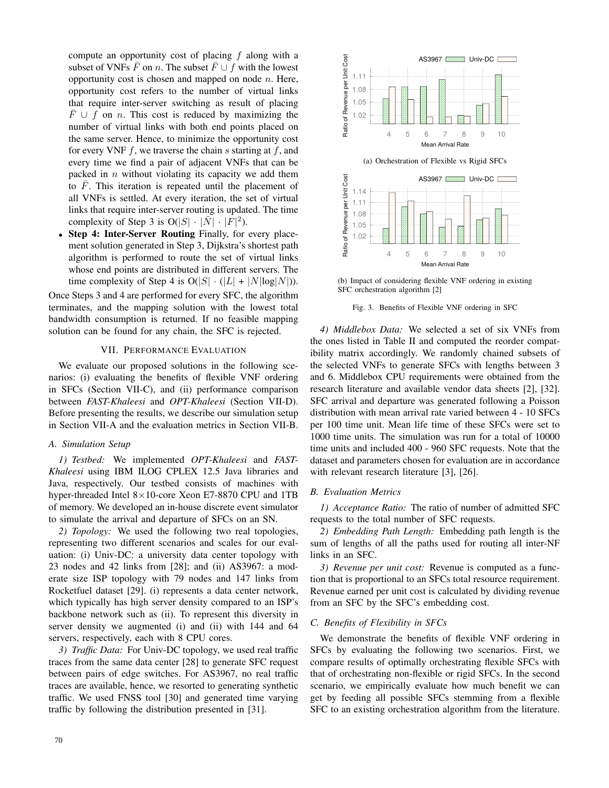compute an opportunity cost of placing  $f$  along with a subset of VNFs  $\overline{F}$  on n. The subset  $\overline{F} \cup f$  with the lowest opportunity cost is chosen and mapped on node  $n$ . Here, opportunity cost refers to the number of virtual links that require inter-server switching as result of placing  $\overline{F}$  ∪ f on n. This cost is reduced by maximizing the number of virtual links with both end points placed on the same server. Hence, to minimize the opportunity cost for every VNF  $f$ , we traverse the chain  $s$  starting at  $f$ , and every time we find a pair of adjacent VNFs that can be packed in  $n$  without violating its capacity we add them to  $\overline{F}$ . This iteration is repeated until the placement of all VNFs is settled. At every iteration, the set of virtual links that require inter-server routing is updated. The time complexity of Step 3 is  $O(|S| \cdot |\overline{N}| \cdot |\overline{F}|^2)$ .

• Step 4: Inter-Server Routing Finally, for every placement solution generated in Step 3, Dijkstra's shortest path algorithm is performed to route the set of virtual links whose end points are distributed in different servers. The time complexity of Step 4 is  $O(|S| \cdot (|L| + |N| \log |N|)).$ 

Once Steps 3 and 4 are performed for every SFC, the algorithm terminates, and the mapping solution with the lowest total bandwidth consumption is returned. If no feasible mapping solution can be found for any chain, the SFC is rejected.

# VII. PERFORMANCE EVALUATION

We evaluate our proposed solutions in the following scenarios: (i) evaluating the benefits of flexible VNF ordering in SFCs (Section VII-C), and (ii) performance comparison between *FAST-Khaleesi* and *OPT-Khaleesi* (Section VII-D). Before presenting the results, we describe our simulation setup in Section VII-A and the evaluation metrics in Section VII-B.

### *A. Simulation Setup*

*1) Testbed:* We implemented *OPT-Khaleesi* and *FAST-Khaleesi* using IBM ILOG CPLEX 12.5 Java libraries and Java, respectively. Our testbed consists of machines with hyper-threaded Intel 8×10-core Xeon E7-8870 CPU and 1TB of memory. We developed an in-house discrete event simulator to simulate the arrival and departure of SFCs on an SN.

*2) Topology:* We used the following two real topologies, representing two different scenarios and scales for our evaluation: (i) Univ-DC: a university data center topology with 23 nodes and 42 links from [28]; and (ii) AS3967: a moderate size ISP topology with 79 nodes and 147 links from Rocketfuel dataset [29]. (i) represents a data center network, which typically has high server density compared to an ISP's backbone network such as (ii). To represent this diversity in server density we augmented (i) and (ii) with 144 and 64 servers, respectively, each with 8 CPU cores.

*3) Traffic Data:* For Univ-DC topology, we used real traffic traces from the same data center [28] to generate SFC request between pairs of edge switches. For AS3967, no real traffic traces are available, hence, we resorted to generating synthetic traffic. We used FNSS tool [30] and generated time varying traffic by following the distribution presented in [31].



(b) Impact of considering flexible VNF ordering in existing SFC orchestration algorithm [2]

Fig. 3. Benefits of Flexible VNF ordering in SFC

*4) Middlebox Data:* We selected a set of six VNFs from the ones listed in Table II and computed the reorder compatibility matrix accordingly. We randomly chained subsets of the selected VNFs to generate SFCs with lengths between 3 and 6. Middlebox CPU requirements were obtained from the research literature and available vendor data sheets [2], [32]. SFC arrival and departure was generated following a Poisson distribution with mean arrival rate varied between 4 - 10 SFCs per 100 time unit. Mean life time of these SFCs were set to 1000 time units. The simulation was run for a total of 10000 time units and included 400 - 960 SFC requests. Note that the dataset and parameters chosen for evaluation are in accordance with relevant research literature [3], [26].

# *B. Evaluation Metrics*

*1) Acceptance Ratio:* The ratio of number of admitted SFC requests to the total number of SFC requests.

*2) Embedding Path Length:* Embedding path length is the sum of lengths of all the paths used for routing all inter-NF links in an SFC.

*3) Revenue per unit cost:* Revenue is computed as a function that is proportional to an SFCs total resource requirement. Revenue earned per unit cost is calculated by dividing revenue from an SFC by the SFC's embedding cost.

# *C. Benefits of Flexibility in SFCs*

We demonstrate the benefits of flexible VNF ordering in SFCs by evaluating the following two scenarios. First, we compare results of optimally orchestrating flexible SFCs with that of orchestrating non-flexible or rigid SFCs. In the second scenario, we empirically evaluate how much benefit we can get by feeding all possible SFCs stemming from a flexible SFC to an existing orchestration algorithm from the literature.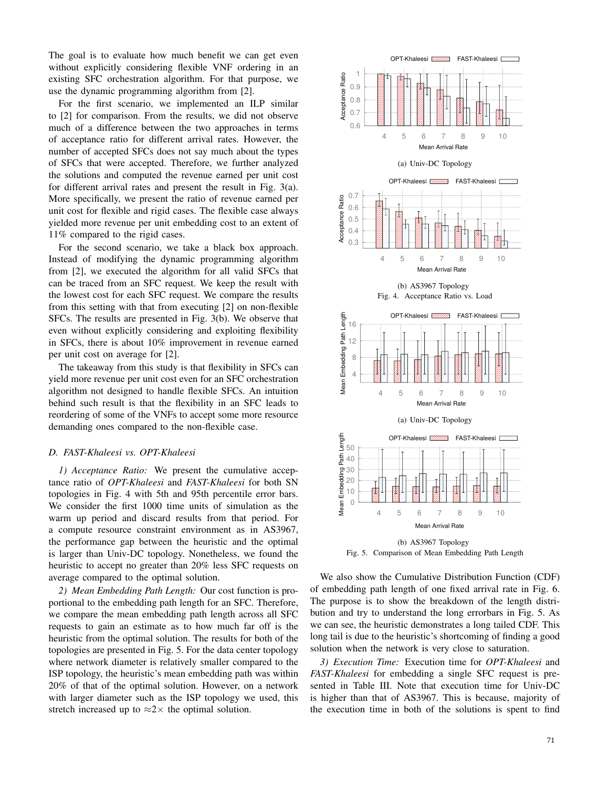The goal is to evaluate how much benefit we can get even without explicitly considering flexible VNF ordering in an existing SFC orchestration algorithm. For that purpose, we use the dynamic programming algorithm from [2].

For the first scenario, we implemented an ILP similar to [2] for comparison. From the results, we did not observe much of a difference between the two approaches in terms of acceptance ratio for different arrival rates. However, the number of accepted SFCs does not say much about the types of SFCs that were accepted. Therefore, we further analyzed the solutions and computed the revenue earned per unit cost for different arrival rates and present the result in Fig. 3(a). More specifically, we present the ratio of revenue earned per unit cost for flexible and rigid cases. The flexible case always yielded more revenue per unit embedding cost to an extent of 11% compared to the rigid cases.

For the second scenario, we take a black box approach. Instead of modifying the dynamic programming algorithm from [2], we executed the algorithm for all valid SFCs that can be traced from an SFC request. We keep the result with the lowest cost for each SFC request. We compare the results from this setting with that from executing [2] on non-flexible SFCs. The results are presented in Fig. 3(b). We observe that even without explicitly considering and exploiting flexibility in SFCs, there is about 10% improvement in revenue earned per unit cost on average for [2].

The takeaway from this study is that flexibility in SFCs can yield more revenue per unit cost even for an SFC orchestration algorithm not designed to handle flexible SFCs. An intuition behind such result is that the flexibility in an SFC leads to reordering of some of the VNFs to accept some more resource demanding ones compared to the non-flexible case.

#### *D. FAST-Khaleesi vs. OPT-Khaleesi*

*1) Acceptance Ratio:* We present the cumulative acceptance ratio of *OPT-Khaleesi* and *FAST-Khaleesi* for both SN topologies in Fig. 4 with 5th and 95th percentile error bars. We consider the first 1000 time units of simulation as the warm up period and discard results from that period. For a compute resource constraint environment as in AS3967, the performance gap between the heuristic and the optimal is larger than Univ-DC topology. Nonetheless, we found the heuristic to accept no greater than 20% less SFC requests on average compared to the optimal solution.

*2) Mean Embedding Path Length:* Our cost function is proportional to the embedding path length for an SFC. Therefore, we compare the mean embedding path length across all SFC requests to gain an estimate as to how much far off is the heuristic from the optimal solution. The results for both of the topologies are presented in Fig. 5. For the data center topology where network diameter is relatively smaller compared to the ISP topology, the heuristic's mean embedding path was within 20% of that of the optimal solution. However, on a network with larger diameter such as the ISP topology we used, this stretch increased up to  $\approx 2 \times$  the optimal solution.



(b) AS3967 Topology Fig. 5. Comparison of Mean Embedding Path Length

We also show the Cumulative Distribution Function (CDF) of embedding path length of one fixed arrival rate in Fig. 6. The purpose is to show the breakdown of the length distribution and try to understand the long errorbars in Fig. 5. As we can see, the heuristic demonstrates a long tailed CDF. This long tail is due to the heuristic's shortcoming of finding a good solution when the network is very close to saturation.

*3) Execution Time:* Execution time for *OPT-Khaleesi* and *FAST-Khaleesi* for embedding a single SFC request is presented in Table III. Note that execution time for Univ-DC is higher than that of AS3967. This is because, majority of the execution time in both of the solutions is spent to find